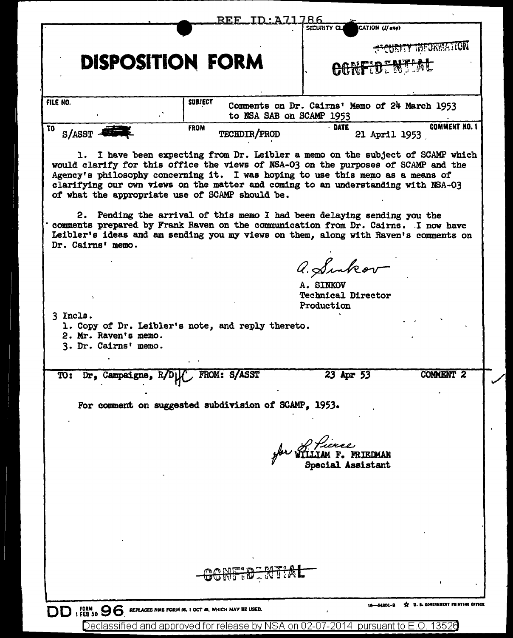|                                                                    | REF TD:A71786                                                                                                                                                                                                                                                                                                                                                                                                                                                             |                                                                           |                             |
|--------------------------------------------------------------------|---------------------------------------------------------------------------------------------------------------------------------------------------------------------------------------------------------------------------------------------------------------------------------------------------------------------------------------------------------------------------------------------------------------------------------------------------------------------------|---------------------------------------------------------------------------|-----------------------------|
|                                                                    |                                                                                                                                                                                                                                                                                                                                                                                                                                                                           | CATION (If any)<br>SECURITY CLA                                           |                             |
|                                                                    |                                                                                                                                                                                                                                                                                                                                                                                                                                                                           |                                                                           | <b>PECURITY INFORMATION</b> |
|                                                                    | <b>DISPOSITION FORM</b>                                                                                                                                                                                                                                                                                                                                                                                                                                                   | CONFIDENTIAL                                                              |                             |
|                                                                    |                                                                                                                                                                                                                                                                                                                                                                                                                                                                           |                                                                           |                             |
| FILE NO.                                                           | <b>SUBJECT</b>                                                                                                                                                                                                                                                                                                                                                                                                                                                            | Comments on Dr. Cairns' Memo of 24 March 1953<br>to NSA SAB on SCAMP 1953 |                             |
| T <sub>0</sub>                                                     | <b>FROM</b>                                                                                                                                                                                                                                                                                                                                                                                                                                                               | - DATE                                                                    | <b>COMMENT NO. 1</b>        |
| $S/ASST$ $-$                                                       | <b>TECHDIR/PROD</b>                                                                                                                                                                                                                                                                                                                                                                                                                                                       | 21 April 1953                                                             |                             |
|                                                                    | 1. I have been expecting from Dr. Leibler a memo on the subject of SCAMP which<br>would clarify for this office the views of NSA-03 on the purposes of SCAMP and the<br>Agency's philosophy concerning it. I was hoping to use this memo as a means of<br>clarifying our own views on the matter and coming to an understanding with NSA-03<br>of what the appropriate use of SCAMP should be.<br>2. Pending the arrival of this memo I had been delaying sending you the |                                                                           |                             |
| Dr. Cairns' memo.                                                  | comments prepared by Frank Raven on the communication from Dr. Cairns. I now have<br>Leibler's ideas and am sending you my views on them, along with Raven's comments on                                                                                                                                                                                                                                                                                                  |                                                                           |                             |
|                                                                    |                                                                                                                                                                                                                                                                                                                                                                                                                                                                           | a. Sinkov                                                                 |                             |
|                                                                    |                                                                                                                                                                                                                                                                                                                                                                                                                                                                           | A. SINKOV<br><b>Technical Director</b><br>Production                      |                             |
| 3 Incls.<br>2. Mr. Raven's memo.<br>3. Dr. Cairns' memo.           | 1. Copy of Dr. Leibler's note, and reply thereto.                                                                                                                                                                                                                                                                                                                                                                                                                         |                                                                           |                             |
| TO: Dr, Campaigne, R/DL                                            | FROM: S/ASST                                                                                                                                                                                                                                                                                                                                                                                                                                                              | 23 Apr 53                                                                 | COMMENT <sub>2</sub>        |
|                                                                    | For comment on suggested subdivision of SCAMP, 1953.                                                                                                                                                                                                                                                                                                                                                                                                                      | for of <i>Fierce</i><br>for WILLIAM F. FRIEDMAN<br>Special Assistant      |                             |
|                                                                    |                                                                                                                                                                                                                                                                                                                                                                                                                                                                           |                                                                           |                             |
|                                                                    |                                                                                                                                                                                                                                                                                                                                                                                                                                                                           |                                                                           |                             |
|                                                                    | <del>nfid ntia</del>                                                                                                                                                                                                                                                                                                                                                                                                                                                      |                                                                           |                             |
| DD 1 FORM 30 96 REPLACES NME FORM SS. I OCT 48, WHICH MAY BE USED. |                                                                                                                                                                                                                                                                                                                                                                                                                                                                           |                                                                           |                             |
|                                                                    |                                                                                                                                                                                                                                                                                                                                                                                                                                                                           | Declassified and approved for release by NSA on 02-07-2014 pursuant to E  |                             |

 $\mathscr{L}$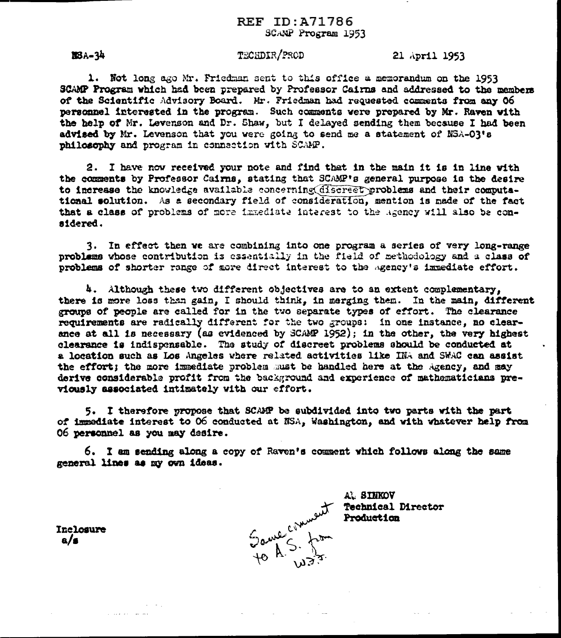BBA-34

## TECHDIR/PROD

21 April 1953

1. Not long ago Mr. Friedman sent to this office a memorandum on the 1953 SCAMP Program which had been prepared by Professor Cairns and addressed to the members of the Scientific Advisory Board. Mr. Friedman had requested comments from any 06 personnel interested in the program. Such comments were prepared by Mr. Raven with the help of Mr. Levenson and Dr. Shaw, but I delayed sending them because I had been advised by Mr. Levenson that you were going to send me a statement of NSA-OR's philosophy and program in connection with SCAMP.

2. I have now received your note and find that in the main it is in line with the comments by Professor Cairns, stating that SCAMP's general purpose is the desire to increase the knowledge available concerning discreet problems and their computational solution. As a secondary field of consideration, mention is made of the fact that a class of problems of more inmediate interest to the Agency will also be considered.

3. In effect then we are combining into one program a series of very long-range problems whose contribution is essentially in the field of methodology and a class of problems of shorter range of more direct interest to the agency's immediate effort.

4. Although these two different objectives are to an extent complementary. there is more loss than gain, I should think, in merging them. In the main, different groups of people are called for in the two separate types of effort. The clearance requirements are radically different for the two groups: in one instance, no clearance at all is necessary (as evidenced by SCAMP 1952); in the other, the very highest clearance is indispensable. The study of discreet problems should be conducted at a location such as Los Angeles where related activities like INA and SWAC can assist the effort; the more immediate problem must be handled here at the Agency, and may derive considerable profit from the background and experience of mathematicians previously associated intimately with our effort.

5. I therefore propose that SCAMP be subdivided into two parts with the part of immediate interest to 06 conducted at NSA, Washington, and with whatever help from 06 personnel as you may desire.

6. I am sending along a copy of Raven's comment which follows along the same general lines as my own ideas.



AL SINKOV **Technical Director** Production

Inclosure  $a/s$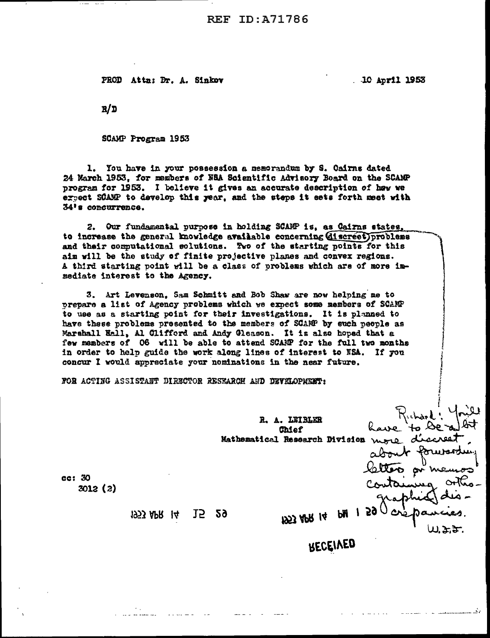PROD Attn: Dr. A. Sinkov

10 April 1953

 $R/D$ 

SCAMP Program 1953

1. You have in your possession a memorandum by S. Cairns dated 24 March 1953, for members of NSA Scientific Advisory Board on the SCAMP program for 1953. I believe it gives an accurate description of haw we erpect SCAMP to develop this year, and the steps it sets forth meet with 34's concurrence.

Our fundamental purpose in holding SCAMP is, as Cairns states, 2. to increase the general knowledge available concerning discreet) problems and their computational solutions. Two of the starting points for this aim will be the study of finite projective planes and convex regions. A third starting point will be a class of problems which are of more immediate interest to the Agency.

3. Art Levenson, Sam Schmitt and Bob Shaw are now helping me to prepare a list of Agency problems which we expect some members of SCAMP to use as a starting point for their investigations. It is planned to have these problems presented to the members of SCAMP by such people as Marshall Hall, Al Clifford and Andy Gleason. It is also hoped that a few manbers of 06 will be able to attend SCANP for the full two months in order to help guide the work along lines of interest to NSA. If you concur I would appreciate your nominations in the near future.

FOR ACTING ASSISTANT DIRECTOR RESEARCH AND DEVELOPMENT:

R. A. LEIBLER have" **Chief** Mathematical Research Division more. abo ec: 30  $3012(2)$ 59 A 15 29 1953 APR 14 1953 APR 14 いよき RECEIVED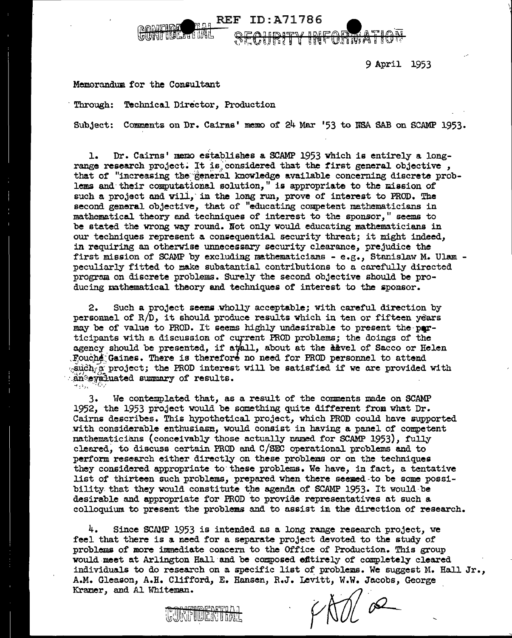9 April 1953

## Memorandum for the Consultant

Technical Director, Production Through:

Subject: Comments on Dr. Cairns' memo of 24 Mar '53 to NSA SAB on SCAMP 1953.

**REF ID: A71786** 

 $5818771$ 

<u>r aliantario de la</u> ν

- 片月命 良 -

**WESTARVER'S R** 

Dr. Cairns' memo establishes a SCAMP 1953 which is entirely a long- $\mathbf{1}$ . range research project. It is considered that the first general objective. that of "increasing the general knowledge available concerning discrete problems and their computational solution," is appropriate to the mission of such a project and will, in the long run, prove of interest to PROD. The second general objective, that of "educating competent mathematicians in mathematical theory and techniques of interest to the sponsor," seems to be stated the wrong way round. Not only would educating mathematicians in our techniques represent a consequential security threat; it might indeed. in requiring an otherwise unnecessary security clearance, prejudice the first mission of SCAMP by excluding mathematicians - e.g., Stanislaw M. Ulam peculiarly fitted to make subatantial contributions to a carefully directed program on discrete problems. Surely the second objective should be producing mathematical theory and techniques of interest to the sponsor.

Such a project seems wholly acceptable; with careful direction by  $2.$ personnel of R/D, it should produce results which in ten or fifteen years may be of value to PROD. It seems highly undesirable to present the participants with a discussion of current PROD problems; the doings of the agency should be presented, if attall, about at the devel of Sacco or Helen Fouche Gaines. There is therefore no need for PROD personnel to attend  $\sim$ such  $\alpha$  project; the PROD interest will be satisfied if we are provided with an evaluated summary of results.

3. We contemplated that, as a result of the comments made on SCAMP 1952, the 1953 project would be something quite different from what Dr. Cairns describes. This hypothetical project, which PROD could have supported with considerable enthusiasm, would consist in having a panel of competent mathematicians (conceivably those actually named for SCAMP 1953), fully cleared, to discuss certain PROD and C/SEC operational problems and to perform research either directly on these problems or on the techniques they considered appropriate to these problems. We have, in fact, a tentative list of thirteen such problems, prepared when there seemed to be some possibility that they would constitute the agenda of SCAMP 1953. It would be desirable and appropriate for PROD to provide representatives at such a colloquium to present the problems and to assist in the direction of research.

4. Since SCAMP 1953 is intended as a long range research project, we feel that there is a need for a separate project devoted to the study of problems of more immediate concern to the Office of Production. This group would meet at Arlington Hall and be composed efftirely of completely cleared individuals to do research on a specific list of problems. We suggest M. Hall Jr., A.M. Gleason, A.H. Clifford, E. Hansen, R.J. Levitt, W.W. Jacobs, George Kramer, and Al Whiteman.

 $\frac{1}{\sqrt{2}}$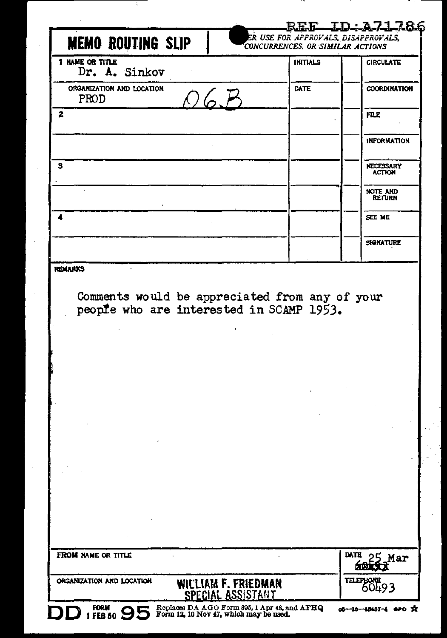| <b>MEMO ROUTING SLIP</b><br>1 NAME OR TITLE |                     |                                                                                            |                                   |
|---------------------------------------------|---------------------|--------------------------------------------------------------------------------------------|-----------------------------------|
| Dr. A. Sinkov                               |                     | <b>INITIALS</b>                                                                            | <b>CIRCULATE</b>                  |
| ORGANIZATION AND LOCATION<br><b>PROD</b>    |                     | <b>DATE</b>                                                                                | <b>COORDINATION</b>               |
| 2                                           |                     |                                                                                            | <b>FILE</b>                       |
|                                             |                     |                                                                                            | <b>INFORMATION</b>                |
| з                                           |                     |                                                                                            | NECESSARY<br><b>ACTION</b>        |
|                                             |                     |                                                                                            | <b>NOTE AND</b><br><b>RETURN</b>  |
| 4                                           |                     |                                                                                            | SEE ME                            |
|                                             |                     |                                                                                            | <b>SIGNATURE</b>                  |
|                                             |                     | Comments would be appreciated from any of your<br>people who are interested in SCAMP 1953. |                                   |
|                                             |                     |                                                                                            |                                   |
|                                             |                     |                                                                                            |                                   |
|                                             |                     |                                                                                            |                                   |
|                                             |                     |                                                                                            |                                   |
|                                             |                     |                                                                                            |                                   |
|                                             |                     |                                                                                            |                                   |
| FROM NAME OR TITLE                          | WILLIAM F. FRIEDMAN |                                                                                            | DATE<br>Mar<br>55.77<br>TELEPHONE |

л,

Ŧ

l,

 $\overline{\phantom{a}}$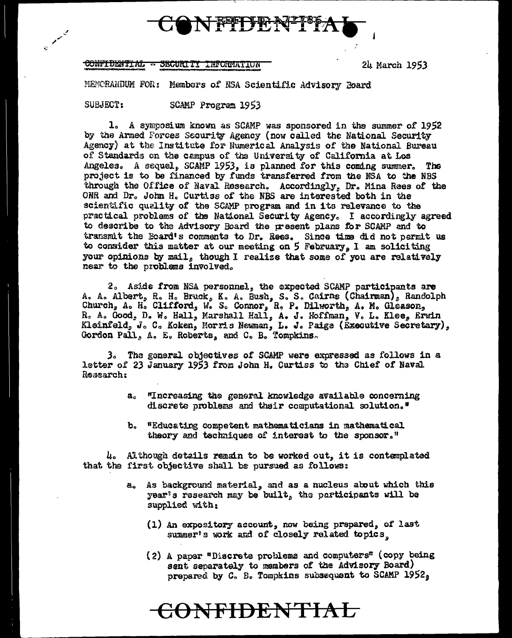

#### CONFIDENTIAL - SECURITY INFORMATION

24 March 1953

MEMORANDUM FOR: Members of NSA Scientific Advisory Board

SUBJECT: SCAMP Program 1953

1. A symposium known as SCAMP was sponsored in the summer of 1952 by the Armed Forces Security Agency (now called the National Security Agency) at the Institute for Numerical Analysis of the National Bureau of Standards on the campus of the University of California at Los Angeles. A sequel, SCAMP 1953, is planned for this coming summer. The project is to be financed by funds transferred from the NSA to the NBS through the Office of Naval Research. Accordingly, Dr. Mina Rees of the ONR and Dr. John H. Curtiss of the NBS are interested both in the scientific quality of the SCAMP program and in its relevance to the practical problems of the National Security Agency. I accordingly agreed to describe to the Advisory Board the present plans for SCAMP and to transmit the Board's comments to Dr. Rees. Since time did not permit us to consider this matter at our meeting on 5 February, I am soliciting your opinions by mail, though I realize that some of you are relatively near to the problems involved.

2. Aside from NSA personnel, the expected SCAMP participants are A. A. Albert, R. H. Bruck, K. A. Bush, S. S. Cairns (Chairman), Randolph Church, A. H. Clifford, W. S. Connor, R. P. Dilworth, A. M. Gleason, R. A. Good, D. W. Hall, Marshall Hall, A. J. Hoffman, V. L. Klee, Erwin Kleinfeld, J. C. Koken, Morris Newman, L. J. Paige (Executive Secretary), Gordon Pall, A. E. Roberts, and C. B. Tompkins.

3. The general objectives of SCAMP were expressed as follows in a letter of 23 January 1953 from John H. Curtiss to the Chief of Naval Research:

- "Increasing the general knowledge available concerning  $a<sub>o</sub>$ discrete problems and their computational solution."
- "Educating competent mathematicians in mathematical b. theory and techniques of interest to the sponsor."

4. Although details remain to be worked out, it is contemplated that the first objective shall be pursued as follows:

<del>CONFIDENTIAL</del>

- As background material, and as a nucleus about which this a. year's research may be built, the participants will be supplied with:
	- (1) An expository account, now being prepared, of last summer's work and of closely related topics.
	- (2) A paper "Discrete problems and computers" (copy being sent separately to members of the Advisory Board) prepared by  $C<sub>o</sub>$  B. Tompkins subsequent to SCAMP 1952<sub>9</sub>